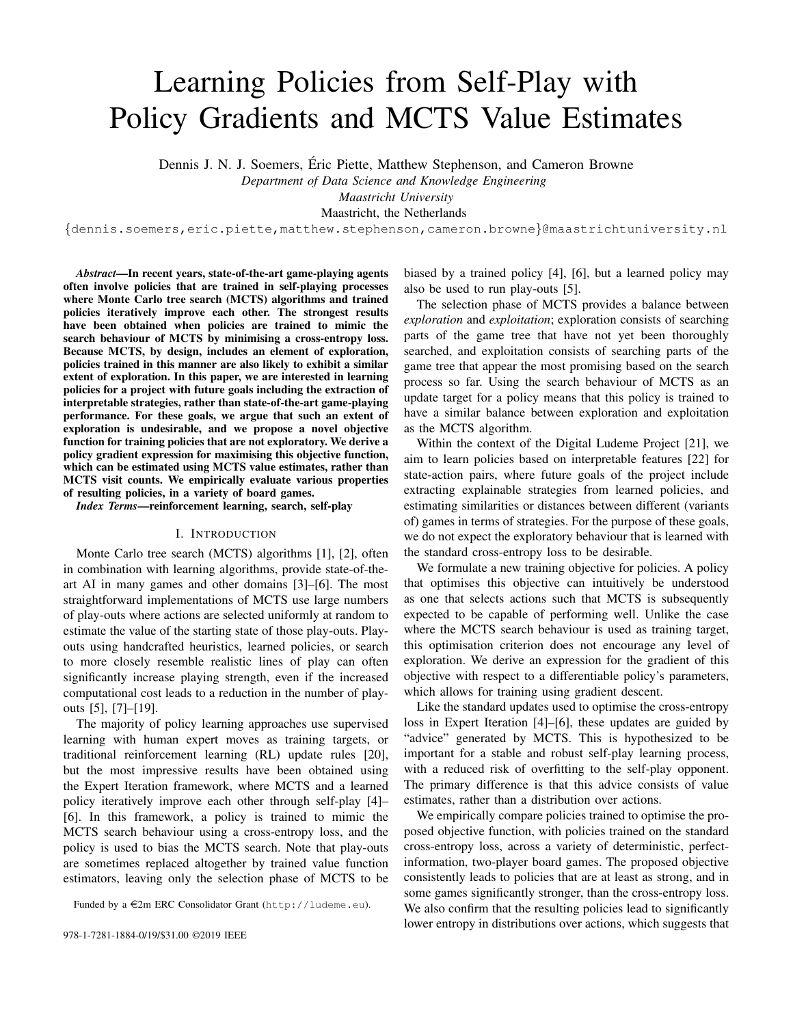# Learning Policies from Self-Play with Policy Gradients and MCTS Value Estimates

Dennis J. N. J. Soemers, Eric Piette, Matthew Stephenson, and Cameron Browne ´

*Department of Data Science and Knowledge Engineering*

*Maastricht University*

Maastricht, the Netherlands

{dennis.soemers,eric.piette,matthew.stephenson,cameron.browne}@maastrichtuniversity.nl

*Abstract*—In recent years, state-of-the-art game-playing agents often involve policies that are trained in self-playing processes where Monte Carlo tree search (MCTS) algorithms and trained policies iteratively improve each other. The strongest results have been obtained when policies are trained to mimic the search behaviour of MCTS by minimising a cross-entropy loss. Because MCTS, by design, includes an element of exploration, policies trained in this manner are also likely to exhibit a similar extent of exploration. In this paper, we are interested in learning policies for a project with future goals including the extraction of interpretable strategies, rather than state-of-the-art game-playing performance. For these goals, we argue that such an extent of exploration is undesirable, and we propose a novel objective function for training policies that are not exploratory. We derive a policy gradient expression for maximising this objective function, which can be estimated using MCTS value estimates, rather than MCTS visit counts. We empirically evaluate various properties of resulting policies, in a variety of board games.

*Index Terms*—reinforcement learning, search, self-play

## I. INTRODUCTION

Monte Carlo tree search (MCTS) algorithms [1], [2], often in combination with learning algorithms, provide state-of-theart AI in many games and other domains [3]–[6]. The most straightforward implementations of MCTS use large numbers of play-outs where actions are selected uniformly at random to estimate the value of the starting state of those play-outs. Playouts using handcrafted heuristics, learned policies, or search to more closely resemble realistic lines of play can often significantly increase playing strength, even if the increased computational cost leads to a reduction in the number of playouts [5], [7]–[19].

The majority of policy learning approaches use supervised learning with human expert moves as training targets, or traditional reinforcement learning (RL) update rules [20], but the most impressive results have been obtained using the Expert Iteration framework, where MCTS and a learned policy iteratively improve each other through self-play [4]– [6]. In this framework, a policy is trained to mimic the MCTS search behaviour using a cross-entropy loss, and the policy is used to bias the MCTS search. Note that play-outs are sometimes replaced altogether by trained value function estimators, leaving only the selection phase of MCTS to be

Funded by a €2m ERC Consolidator Grant (http://ludeme.eu).

biased by a trained policy [4], [6], but a learned policy may also be used to run play-outs [5].

The selection phase of MCTS provides a balance between *exploration* and *exploitation*; exploration consists of searching parts of the game tree that have not yet been thoroughly searched, and exploitation consists of searching parts of the game tree that appear the most promising based on the search process so far. Using the search behaviour of MCTS as an update target for a policy means that this policy is trained to have a similar balance between exploration and exploitation as the MCTS algorithm.

Within the context of the Digital Ludeme Project [21], we aim to learn policies based on interpretable features [22] for state-action pairs, where future goals of the project include extracting explainable strategies from learned policies, and estimating similarities or distances between different (variants of) games in terms of strategies. For the purpose of these goals, we do not expect the exploratory behaviour that is learned with the standard cross-entropy loss to be desirable.

We formulate a new training objective for policies. A policy that optimises this objective can intuitively be understood as one that selects actions such that MCTS is subsequently expected to be capable of performing well. Unlike the case where the MCTS search behaviour is used as training target, this optimisation criterion does not encourage any level of exploration. We derive an expression for the gradient of this objective with respect to a differentiable policy's parameters, which allows for training using gradient descent.

Like the standard updates used to optimise the cross-entropy loss in Expert Iteration [4]–[6], these updates are guided by "advice" generated by MCTS. This is hypothesized to be important for a stable and robust self-play learning process, with a reduced risk of overfitting to the self-play opponent. The primary difference is that this advice consists of value estimates, rather than a distribution over actions.

We empirically compare policies trained to optimise the proposed objective function, with policies trained on the standard cross-entropy loss, across a variety of deterministic, perfectinformation, two-player board games. The proposed objective consistently leads to policies that are at least as strong, and in some games significantly stronger, than the cross-entropy loss. We also confirm that the resulting policies lead to significantly lower entropy in distributions over actions, which suggests that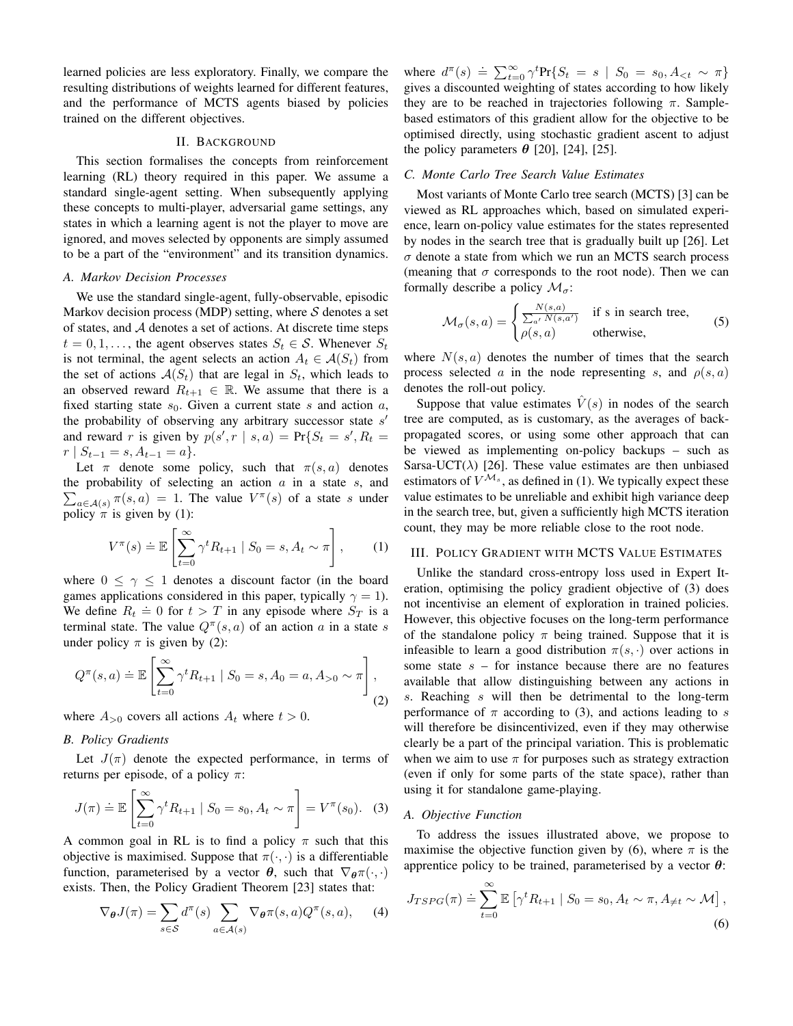learned policies are less exploratory. Finally, we compare the resulting distributions of weights learned for different features, and the performance of MCTS agents biased by policies trained on the different objectives.

# II. BACKGROUND

This section formalises the concepts from reinforcement learning (RL) theory required in this paper. We assume a standard single-agent setting. When subsequently applying these concepts to multi-player, adversarial game settings, any states in which a learning agent is not the player to move are ignored, and moves selected by opponents are simply assumed to be a part of the "environment" and its transition dynamics.

## *A. Markov Decision Processes*

We use the standard single-agent, fully-observable, episodic Markov decision process (MDP) setting, where  $S$  denotes a set of states, and A denotes a set of actions. At discrete time steps  $t = 0, 1, \ldots$ , the agent observes states  $S_t \in \mathcal{S}$ . Whenever  $S_t$ is not terminal, the agent selects an action  $A_t \in \mathcal{A}(S_t)$  from the set of actions  $A(S_t)$  that are legal in  $S_t$ , which leads to an observed reward  $R_{t+1} \in \mathbb{R}$ . We assume that there is a fixed starting state  $s_0$ . Given a current state s and action  $a$ , the probability of observing any arbitrary successor state  $s'$ and reward r is given by  $p(s', r | s, a) = Pr\{S_t = s', R_t = s'\}$  $r | S_{t-1} = s, A_{t-1} = a$ .

Let  $\pi$  denote some policy, such that  $\pi(s, a)$  denotes the probability of selecting an action  $a$  in a state  $s$ , and  $\sum_{a \in \mathcal{A}(s)} \pi(s, a) = 1$ . The value  $V^{\pi}(s)$  of a state s under policy  $\pi$  is given by (1):

$$
V^{\pi}(s) \doteq \mathbb{E}\left[\sum_{t=0}^{\infty} \gamma^t R_{t+1} \mid S_0 = s, A_t \sim \pi\right],\qquad(1)
$$

where  $0 \leq \gamma \leq 1$  denotes a discount factor (in the board games applications considered in this paper, typically  $\gamma = 1$ ). We define  $R_t \doteq 0$  for  $t > T$  in any episode where  $S_T$  is a terminal state. The value  $Q^{\pi}(s, a)$  of an action a in a state s under policy  $\pi$  is given by (2):

$$
Q^{\pi}(s, a) \doteq \mathbb{E}\left[\sum_{t=0}^{\infty} \gamma^t R_{t+1} \mid S_0 = s, A_0 = a, A_{>0} \sim \pi\right],
$$
\n(2)

where  $A_{>0}$  covers all actions  $A_t$  where  $t > 0$ .

# *B. Policy Gradients*

Let  $J(\pi)$  denote the expected performance, in terms of returns per episode, of a policy  $\pi$ :

$$
J(\pi) \doteq \mathbb{E}\left[\sum_{t=0}^{\infty} \gamma^t R_{t+1} \mid S_0 = s_0, A_t \sim \pi\right] = V^{\pi}(s_0). \quad (3)
$$

A common goal in RL is to find a policy  $\pi$  such that this objective is maximised. Suppose that  $\pi(\cdot, \cdot)$  is a differentiable function, parameterised by a vector  $\theta$ , such that  $\nabla_{\theta} \pi(\cdot, \cdot)$ exists. Then, the Policy Gradient Theorem [23] states that:

$$
\nabla_{\boldsymbol{\theta}} J(\pi) = \sum_{s \in \mathcal{S}} d^{\pi}(s) \sum_{a \in \mathcal{A}(s)} \nabla_{\boldsymbol{\theta}} \pi(s, a) Q^{\pi}(s, a), \qquad (4)
$$

where  $d^{\pi}(s) \doteq \sum_{t=0}^{\infty} \gamma^t Pr\{S_t = s \mid S_0 = s_0, A_{lt} \sim \pi\}$ gives a discounted weighting of states according to how likely they are to be reached in trajectories following  $\pi$ . Samplebased estimators of this gradient allow for the objective to be optimised directly, using stochastic gradient ascent to adjust the policy parameters  $\theta$  [20], [24], [25].

## *C. Monte Carlo Tree Search Value Estimates*

Most variants of Monte Carlo tree search (MCTS) [3] can be viewed as RL approaches which, based on simulated experience, learn on-policy value estimates for the states represented by nodes in the search tree that is gradually built up [26]. Let  $\sigma$  denote a state from which we run an MCTS search process (meaning that  $\sigma$  corresponds to the root node). Then we can formally describe a policy  $\mathcal{M}_{\sigma}$ :

$$
\mathcal{M}_{\sigma}(s, a) = \begin{cases} \frac{N(s, a)}{\sum_{a'} N(s, a')} & \text{if s in search tree,} \\ \rho(s, a) & \text{otherwise,} \end{cases}
$$
 (5)

where  $N(s, a)$  denotes the number of times that the search process selected a in the node representing s, and  $\rho(s, a)$ denotes the roll-out policy.

Suppose that value estimates  $V(s)$  in nodes of the search tree are computed, as is customary, as the averages of backpropagated scores, or using some other approach that can be viewed as implementing on-policy backups – such as Sarsa-UCT( $\lambda$ ) [26]. These value estimates are then unbiased estimators of  $V^{\mathcal{M}_s}$ , as defined in (1). We typically expect these value estimates to be unreliable and exhibit high variance deep in the search tree, but, given a sufficiently high MCTS iteration count, they may be more reliable close to the root node.

#### III. POLICY GRADIENT WITH MCTS VALUE ESTIMATES

Unlike the standard cross-entropy loss used in Expert Iteration, optimising the policy gradient objective of (3) does not incentivise an element of exploration in trained policies. However, this objective focuses on the long-term performance of the standalone policy  $\pi$  being trained. Suppose that it is infeasible to learn a good distribution  $\pi(s, \cdot)$  over actions in some state  $s$  – for instance because there are no features available that allow distinguishing between any actions in s. Reaching s will then be detrimental to the long-term performance of  $\pi$  according to (3), and actions leading to s will therefore be disincentivized, even if they may otherwise clearly be a part of the principal variation. This is problematic when we aim to use  $\pi$  for purposes such as strategy extraction (even if only for some parts of the state space), rather than using it for standalone game-playing.

# *A. Objective Function*

To address the issues illustrated above, we propose to maximise the objective function given by (6), where  $\pi$  is the apprentice policy to be trained, parameterised by a vector  $\theta$ :

$$
J_{TSPG}(\pi) \doteq \sum_{t=0}^{\infty} \mathbb{E} \left[ \gamma^t R_{t+1} \mid S_0 = s_0, A_t \sim \pi, A_{\neq t} \sim \mathcal{M} \right],
$$
\n(6)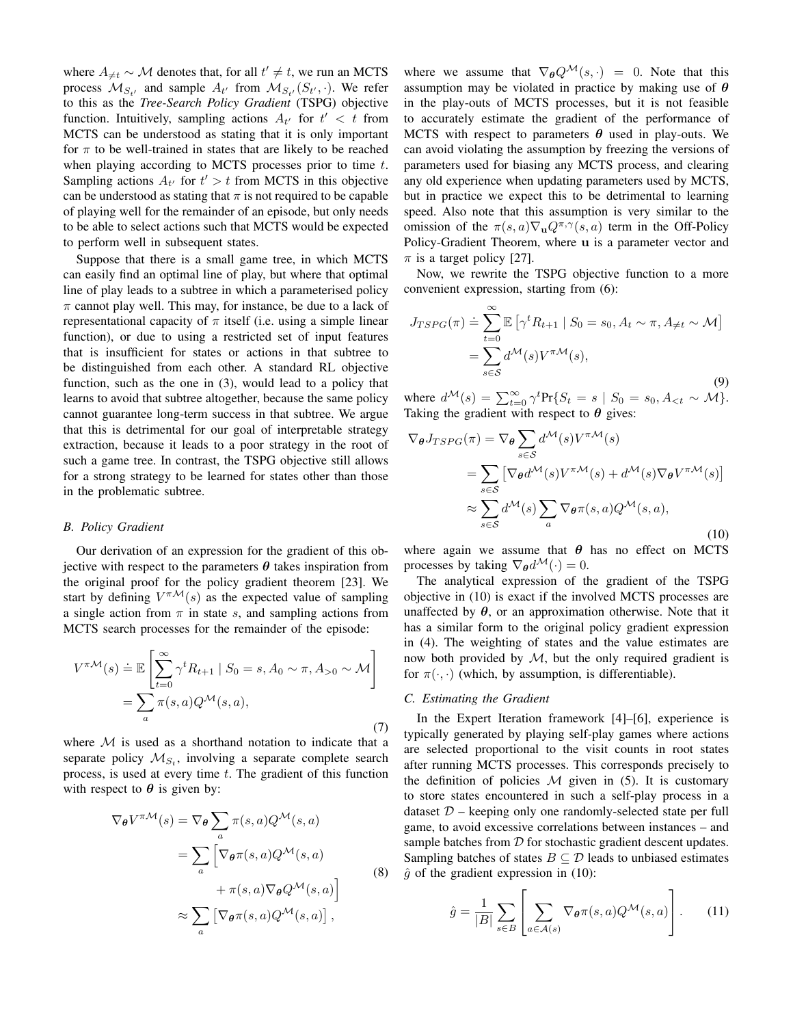where  $A_{\neq t} \sim M$  denotes that, for all  $t' \neq t$ , we run an MCTS process  $\mathcal{M}_{S_{t'}}$  and sample  $A_{t'}$  from  $\mathcal{M}_{S_{t'}}(S_{t'}, \cdot)$ . We refer to this as the *Tree-Search Policy Gradient* (TSPG) objective function. Intuitively, sampling actions  $A_{t'}$  for  $t' < t$  from MCTS can be understood as stating that it is only important for  $\pi$  to be well-trained in states that are likely to be reached when playing according to MCTS processes prior to time t. Sampling actions  $A_{t'}$  for  $t' > t$  from MCTS in this objective can be understood as stating that  $\pi$  is not required to be capable of playing well for the remainder of an episode, but only needs to be able to select actions such that MCTS would be expected to perform well in subsequent states.

Suppose that there is a small game tree, in which MCTS can easily find an optimal line of play, but where that optimal line of play leads to a subtree in which a parameterised policy  $\pi$  cannot play well. This may, for instance, be due to a lack of representational capacity of  $\pi$  itself (i.e. using a simple linear function), or due to using a restricted set of input features that is insufficient for states or actions in that subtree to be distinguished from each other. A standard RL objective function, such as the one in (3), would lead to a policy that learns to avoid that subtree altogether, because the same policy cannot guarantee long-term success in that subtree. We argue that this is detrimental for our goal of interpretable strategy extraction, because it leads to a poor strategy in the root of such a game tree. In contrast, the TSPG objective still allows for a strong strategy to be learned for states other than those in the problematic subtree.

# *B. Policy Gradient*

Our derivation of an expression for the gradient of this objective with respect to the parameters  $\theta$  takes inspiration from the original proof for the policy gradient theorem [23]. We start by defining  $V^{\pi M}(s)$  as the expected value of sampling a single action from  $\pi$  in state s, and sampling actions from MCTS search processes for the remainder of the episode:

$$
V^{\pi M}(s) \doteq \mathbb{E}\left[\sum_{t=0}^{\infty} \gamma^t R_{t+1} \mid S_0 = s, A_0 \sim \pi, A_{>0} \sim M\right]
$$

$$
= \sum_a \pi(s, a) Q^{\mathcal{M}}(s, a), \tag{7}
$$

where  $M$  is used as a shorthand notation to indicate that a separate policy  $\mathcal{M}_{S_t}$ , involving a separate complete search process, is used at every time  $t$ . The gradient of this function with respect to  $\theta$  is given by:

$$
\nabla_{\theta} V^{\pi M}(s) = \nabla_{\theta} \sum_{a} \pi(s, a) Q^{\mathcal{M}}(s, a)
$$

$$
= \sum_{a} \left[ \nabla_{\theta} \pi(s, a) Q^{\mathcal{M}}(s, a) + \pi(s, a) \nabla_{\theta} Q^{\mathcal{M}}(s, a) \right]
$$
(8)
$$
\approx \sum_{a} \left[ \nabla_{\theta} \pi(s, a) Q^{\mathcal{M}}(s, a) \right],
$$

where we assume that  $\nabla_{\theta} Q^{\mathcal{M}}(s, \cdot) = 0$ . Note that this assumption may be violated in practice by making use of  $\theta$ in the play-outs of MCTS processes, but it is not feasible to accurately estimate the gradient of the performance of MCTS with respect to parameters  $\theta$  used in play-outs. We can avoid violating the assumption by freezing the versions of parameters used for biasing any MCTS process, and clearing any old experience when updating parameters used by MCTS, but in practice we expect this to be detrimental to learning speed. Also note that this assumption is very similar to the omission of the  $\pi(s, a) \nabla_{\mathbf{u}} Q^{\pi, \gamma}(s, a)$  term in the Off-Policy Policy-Gradient Theorem, where u is a parameter vector and  $\pi$  is a target policy [27].

Now, we rewrite the TSPG objective function to a more convenient expression, starting from (6):

$$
J_{TSPG}(\pi) \doteq \sum_{t=0}^{\infty} \mathbb{E} \left[ \gamma^t R_{t+1} \mid S_0 = s_0, A_t \sim \pi, A_{\neq t} \sim \mathcal{M} \right]
$$

$$
= \sum_{s \in \mathcal{S}} d^{\mathcal{M}}(s) V^{\pi \mathcal{M}}(s),
$$
(9)

where  $d^{\mathcal{M}}(s) = \sum_{t=0}^{\infty} \gamma^t Pr\{S_t = s \mid S_0 = s_0, A_{\lt t} \sim \mathcal{M}\}.$ Taking the gradient with respect to  $\theta$  gives:

$$
\nabla_{\theta} J_{TSPG}(\pi) = \nabla_{\theta} \sum_{s \in \mathcal{S}} d^{\mathcal{M}}(s) V^{\pi \mathcal{M}}(s)
$$
  
\n
$$
= \sum_{s \in \mathcal{S}} \left[ \nabla_{\theta} d^{\mathcal{M}}(s) V^{\pi \mathcal{M}}(s) + d^{\mathcal{M}}(s) \nabla_{\theta} V^{\pi \mathcal{M}}(s) \right]
$$
  
\n
$$
\approx \sum_{s \in \mathcal{S}} d^{\mathcal{M}}(s) \sum_{a} \nabla_{\theta} \pi(s, a) Q^{\mathcal{M}}(s, a),
$$
\n(10)

where again we assume that  $\theta$  has no effect on MCTS processes by taking  $\nabla_{\theta} d^{\mathcal{M}}(\cdot) = 0$ .

The analytical expression of the gradient of the TSPG objective in (10) is exact if the involved MCTS processes are unaffected by  $\theta$ , or an approximation otherwise. Note that it has a similar form to the original policy gradient expression in (4). The weighting of states and the value estimates are now both provided by  $M$ , but the only required gradient is for  $\pi(\cdot, \cdot)$  (which, by assumption, is differentiable).

#### *C. Estimating the Gradient*

In the Expert Iteration framework [4]–[6], experience is typically generated by playing self-play games where actions are selected proportional to the visit counts in root states after running MCTS processes. This corresponds precisely to the definition of policies  $M$  given in (5). It is customary to store states encountered in such a self-play process in a dataset  $D$  – keeping only one randomly-selected state per full game, to avoid excessive correlations between instances – and sample batches from  $D$  for stochastic gradient descent updates. Sampling batches of states  $B \subseteq \mathcal{D}$  leads to unbiased estimates  $\hat{g}$  of the gradient expression in (10):

$$
\hat{g} = \frac{1}{|B|} \sum_{s \in B} \left[ \sum_{a \in \mathcal{A}(s)} \nabla_{\theta} \pi(s, a) Q^{\mathcal{M}}(s, a) \right]. \tag{11}
$$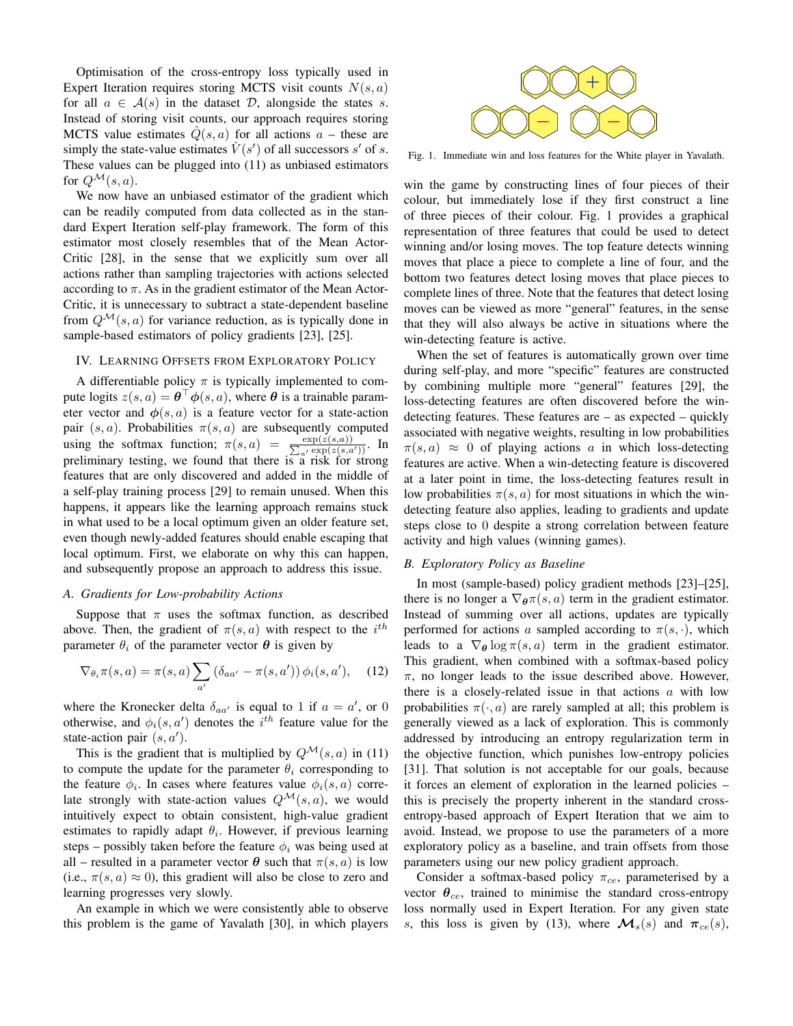Optimisation of the cross-entropy loss typically used in Expert Iteration requires storing MCTS visit counts  $N(s, a)$ for all  $a \in \mathcal{A}(s)$  in the dataset  $\mathcal{D}$ , alongside the states s. Instead of storing visit counts, our approach requires storing MCTS value estimates  $\hat{Q}(s, a)$  for all actions  $a$  – these are simply the state-value estimates  $\hat{V}(s')$  of all successors s' of s. These values can be plugged into (11) as unbiased estimators for  $Q^{\mathcal{M}}(s,a)$ .

We now have an unbiased estimator of the gradient which can be readily computed from data collected as in the standard Expert Iteration self-play framework. The form of this estimator most closely resembles that of the Mean Actor-Critic [28], in the sense that we explicitly sum over all actions rather than sampling trajectories with actions selected according to  $\pi$ . As in the gradient estimator of the Mean Actor-Critic, it is unnecessary to subtract a state-dependent baseline from  $Q^{\mathcal{M}}(s, a)$  for variance reduction, as is typically done in sample-based estimators of policy gradients [23], [25].

# IV. LEARNING OFFSETS FROM EXPLORATORY POLICY

A differentiable policy  $\pi$  is typically implemented to compute logits  $z(s, a) = \theta^\top \phi(s, a)$ , where  $\theta$  is a trainable parameter vector and  $\phi(s, a)$  is a feature vector for a state-action pair  $(s, a)$ . Probabilities  $\pi(s, a)$  are subsequently computed using the softmax function;  $\pi(s, a) = \frac{\exp(z(s, a))}{\sum_{a'} \exp(z(s, a'))}$ . In preliminary testing, we found that there is a risk for strong features that are only discovered and added in the middle of a self-play training process [29] to remain unused. When this happens, it appears like the learning approach remains stuck in what used to be a local optimum given an older feature set, even though newly-added features should enable escaping that local optimum. First, we elaborate on why this can happen, and subsequently propose an approach to address this issue.

#### *A. Gradients for Low-probability Actions*

Suppose that  $\pi$  uses the softmax function, as described above. Then, the gradient of  $\pi(s, a)$  with respect to the  $i^{th}$ parameter  $\theta_i$  of the parameter vector  $\theta$  is given by

$$
\nabla_{\theta_i} \pi(s, a) = \pi(s, a) \sum_{a'} \left( \delta_{aa'} - \pi(s, a') \right) \phi_i(s, a'), \quad (12)
$$

where the Kronecker delta  $\delta_{aa'}$  is equal to 1 if  $a = a'$ , or 0 otherwise, and  $\phi_i(s, a')$  denotes the  $i^{th}$  feature value for the state-action pair  $(s, a')$ .

This is the gradient that is multiplied by  $Q^{\mathcal{M}}(s, a)$  in (11) to compute the update for the parameter  $\theta_i$  corresponding to the feature  $\phi_i$ . In cases where features value  $\phi_i(s, a)$  correlate strongly with state-action values  $Q^{\mathcal{M}}(s, a)$ , we would intuitively expect to obtain consistent, high-value gradient estimates to rapidly adapt  $\theta_i$ . However, if previous learning steps – possibly taken before the feature  $\phi_i$  was being used at all – resulted in a parameter vector  $\theta$  such that  $\pi(s, a)$  is low (i.e.,  $\pi(s, a) \approx 0$ ), this gradient will also be close to zero and learning progresses very slowly.

An example in which we were consistently able to observe this problem is the game of Yavalath [30], in which players



Fig. 1. Immediate win and loss features for the White player in Yavalath.

win the game by constructing lines of four pieces of their colour, but immediately lose if they first construct a line of three pieces of their colour. Fig. 1 provides a graphical representation of three features that could be used to detect winning and/or losing moves. The top feature detects winning moves that place a piece to complete a line of four, and the bottom two features detect losing moves that place pieces to complete lines of three. Note that the features that detect losing moves can be viewed as more "general" features, in the sense that they will also always be active in situations where the win-detecting feature is active.

When the set of features is automatically grown over time during self-play, and more "specific" features are constructed by combining multiple more "general" features [29], the loss-detecting features are often discovered before the windetecting features. These features are – as expected – quickly associated with negative weights, resulting in low probabilities  $\pi(s,a) \approx 0$  of playing actions a in which loss-detecting features are active. When a win-detecting feature is discovered at a later point in time, the loss-detecting features result in low probabilities  $\pi(s, a)$  for most situations in which the windetecting feature also applies, leading to gradients and update steps close to 0 despite a strong correlation between feature activity and high values (winning games).

## *B. Exploratory Policy as Baseline*

In most (sample-based) policy gradient methods [23]–[25], there is no longer a  $\nabla_{\theta} \pi(s, a)$  term in the gradient estimator. Instead of summing over all actions, updates are typically performed for actions a sampled according to  $\pi(s, \cdot)$ , which leads to a  $\nabla_{\theta} \log \pi(s, a)$  term in the gradient estimator. This gradient, when combined with a softmax-based policy  $\pi$ , no longer leads to the issue described above. However, there is a closely-related issue in that actions  $a$  with low probabilities  $\pi(\cdot, a)$  are rarely sampled at all; this problem is generally viewed as a lack of exploration. This is commonly addressed by introducing an entropy regularization term in the objective function, which punishes low-entropy policies [31]. That solution is not acceptable for our goals, because it forces an element of exploration in the learned policies – this is precisely the property inherent in the standard crossentropy-based approach of Expert Iteration that we aim to avoid. Instead, we propose to use the parameters of a more exploratory policy as a baseline, and train offsets from those parameters using our new policy gradient approach.

Consider a softmax-based policy  $\pi_{ce}$ , parameterised by a vector  $\theta_{ce}$ , trained to minimise the standard cross-entropy loss normally used in Expert Iteration. For any given state s, this loss is given by (13), where  $\mathcal{M}_s(s)$  and  $\pi_{ce}(s)$ ,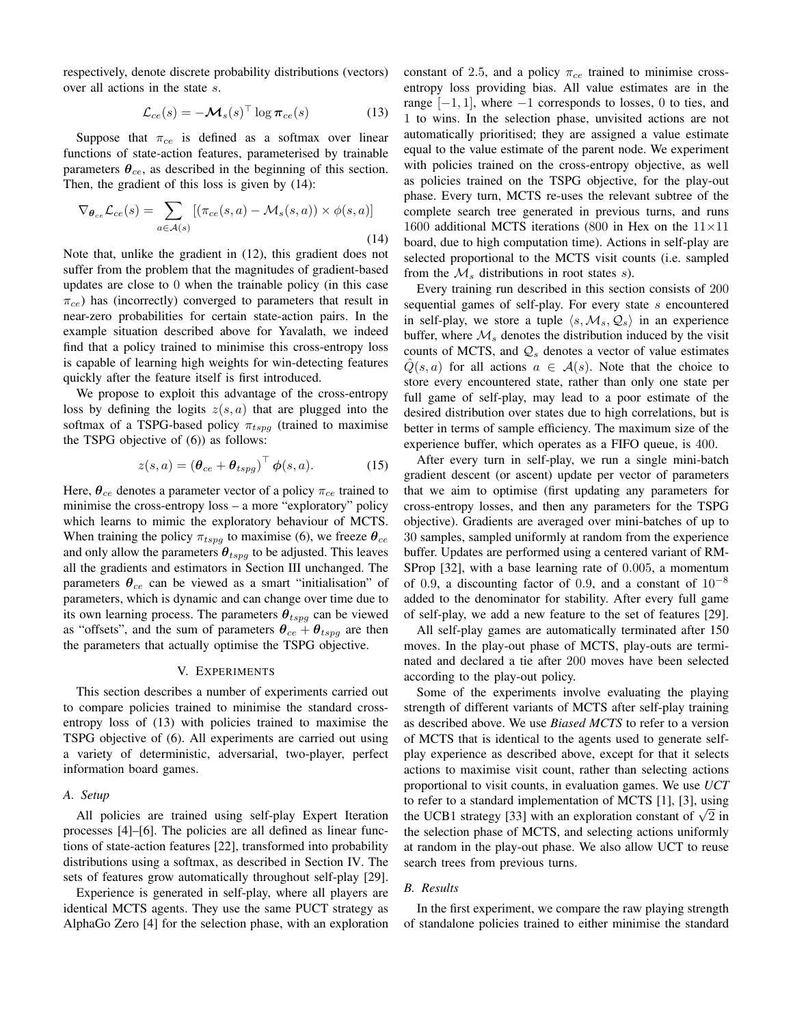respectively, denote discrete probability distributions (vectors) over all actions in the state s.

$$
\mathcal{L}_{ce}(s) = -\mathcal{M}_s(s)^\top \log \pi_{ce}(s)
$$
 (13)

Suppose that  $\pi_{ce}$  is defined as a softmax over linear functions of state-action features, parameterised by trainable parameters  $\theta_{ce}$ , as described in the beginning of this section. Then, the gradient of this loss is given by (14):

$$
\nabla_{\boldsymbol{\theta}_{ce}} \mathcal{L}_{ce}(s) = \sum_{a \in \mathcal{A}(s)} \left[ (\pi_{ce}(s, a) - \mathcal{M}_s(s, a)) \times \phi(s, a) \right]
$$
\n(14)

Note that, unlike the gradient in (12), this gradient does not suffer from the problem that the magnitudes of gradient-based updates are close to 0 when the trainable policy (in this case  $\pi_{ce}$ ) has (incorrectly) converged to parameters that result in near-zero probabilities for certain state-action pairs. In the example situation described above for Yavalath, we indeed find that a policy trained to minimise this cross-entropy loss is capable of learning high weights for win-detecting features quickly after the feature itself is first introduced.

We propose to exploit this advantage of the cross-entropy loss by defining the logits  $z(s, a)$  that are plugged into the softmax of a TSPG-based policy  $\pi_{tspg}$  (trained to maximise the TSPG objective of (6)) as follows:

$$
z(s,a) = (\boldsymbol{\theta}_{ce} + \boldsymbol{\theta}_{tspg})^{\top} \boldsymbol{\phi}(s,a). \tag{15}
$$

Here,  $\theta_{ce}$  denotes a parameter vector of a policy  $\pi_{ce}$  trained to minimise the cross-entropy loss – a more "exploratory" policy which learns to mimic the exploratory behaviour of MCTS. When training the policy  $\pi_{tspg}$  to maximise (6), we freeze  $\theta_{ce}$ and only allow the parameters  $\theta_{tspg}$  to be adjusted. This leaves all the gradients and estimators in Section III unchanged. The parameters  $\theta_{ce}$  can be viewed as a smart "initialisation" of parameters, which is dynamic and can change over time due to its own learning process. The parameters  $\theta_{tspg}$  can be viewed as "offsets", and the sum of parameters  $\theta_{ce} + \theta_{tspg}$  are then the parameters that actually optimise the TSPG objective.

# V. EXPERIMENTS

This section describes a number of experiments carried out to compare policies trained to minimise the standard crossentropy loss of (13) with policies trained to maximise the TSPG objective of (6). All experiments are carried out using a variety of deterministic, adversarial, two-player, perfect information board games.

#### *A. Setup*

All policies are trained using self-play Expert Iteration processes [4]–[6]. The policies are all defined as linear functions of state-action features [22], transformed into probability distributions using a softmax, as described in Section IV. The sets of features grow automatically throughout self-play [29].

Experience is generated in self-play, where all players are identical MCTS agents. They use the same PUCT strategy as AlphaGo Zero [4] for the selection phase, with an exploration constant of 2.5, and a policy  $\pi_{ce}$  trained to minimise crossentropy loss providing bias. All value estimates are in the range  $[-1, 1]$ , where  $-1$  corresponds to losses, 0 to ties, and 1 to wins. In the selection phase, unvisited actions are not automatically prioritised; they are assigned a value estimate equal to the value estimate of the parent node. We experiment with policies trained on the cross-entropy objective, as well as policies trained on the TSPG objective, for the play-out phase. Every turn, MCTS re-uses the relevant subtree of the complete search tree generated in previous turns, and runs 1600 additional MCTS iterations (800 in Hex on the  $11\times11$ board, due to high computation time). Actions in self-play are selected proportional to the MCTS visit counts (i.e. sampled from the  $\mathcal{M}_s$  distributions in root states s).

Every training run described in this section consists of 200 sequential games of self-play. For every state s encountered in self-play, we store a tuple  $\langle s, M_s, Q_s \rangle$  in an experience buffer, where  $\mathcal{M}_s$  denotes the distribution induced by the visit counts of MCTS, and  $\mathcal{Q}_s$  denotes a vector of value estimates  $Q(s, a)$  for all actions  $a \in \mathcal{A}(s)$ . Note that the choice to store every encountered state, rather than only one state per full game of self-play, may lead to a poor estimate of the desired distribution over states due to high correlations, but is better in terms of sample efficiency. The maximum size of the experience buffer, which operates as a FIFO queue, is 400.

After every turn in self-play, we run a single mini-batch gradient descent (or ascent) update per vector of parameters that we aim to optimise (first updating any parameters for cross-entropy losses, and then any parameters for the TSPG objective). Gradients are averaged over mini-batches of up to 30 samples, sampled uniformly at random from the experience buffer. Updates are performed using a centered variant of RM-SProp [32], with a base learning rate of 0.005, a momentum of 0.9, a discounting factor of 0.9, and a constant of  $10^{-8}$ added to the denominator for stability. After every full game of self-play, we add a new feature to the set of features [29].

All self-play games are automatically terminated after 150 moves. In the play-out phase of MCTS, play-outs are terminated and declared a tie after 200 moves have been selected according to the play-out policy.

Some of the experiments involve evaluating the playing strength of different variants of MCTS after self-play training as described above. We use *Biased MCTS* to refer to a version of MCTS that is identical to the agents used to generate selfplay experience as described above, except for that it selects actions to maximise visit count, rather than selecting actions proportional to visit counts, in evaluation games. We use *UCT* to refer to a standard implementation of MCTS [1], [3], using the UCB1 strategy [33] with an exploration constant of  $\sqrt{2}$  in the selection phase of MCTS, and selecting actions uniformly at random in the play-out phase. We also allow UCT to reuse search trees from previous turns.

# *B. Results*

In the first experiment, we compare the raw playing strength of standalone policies trained to either minimise the standard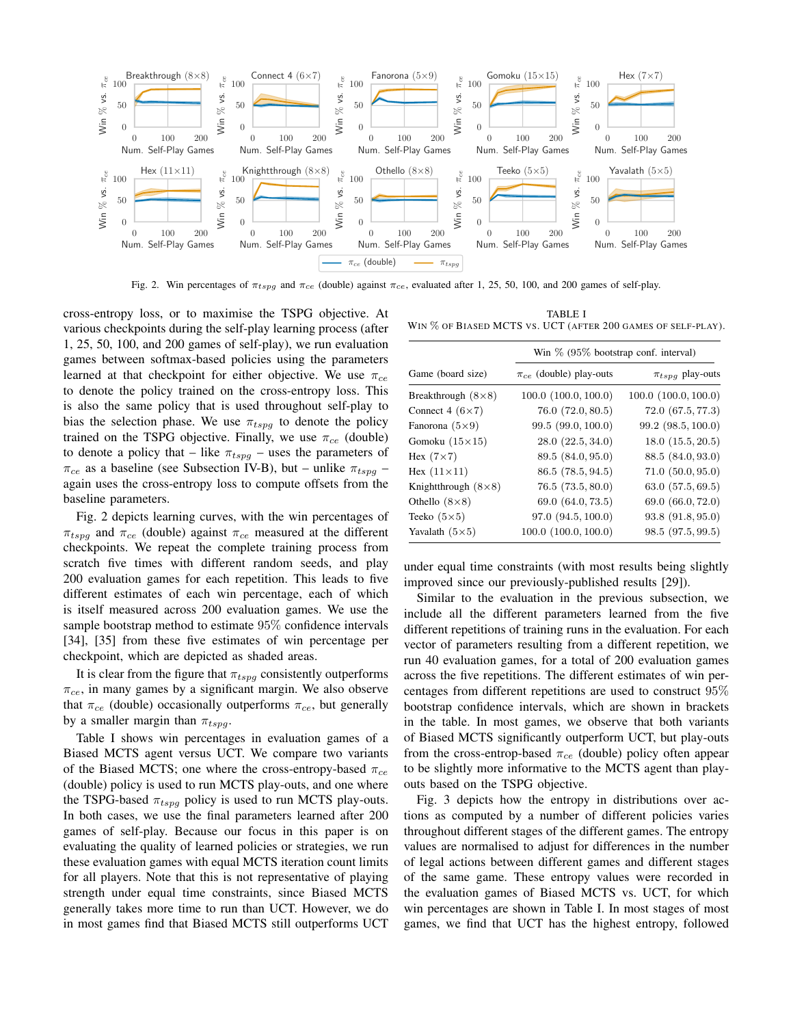

Fig. 2. Win percentages of  $\pi_{tspg}$  and  $\pi_{ce}$  (double) against  $\pi_{ce}$ , evaluated after 1, 25, 50, 100, and 200 games of self-play.

cross-entropy loss, or to maximise the TSPG objective. At various checkpoints during the self-play learning process (after 1, 25, 50, 100, and 200 games of self-play), we run evaluation games between softmax-based policies using the parameters learned at that checkpoint for either objective. We use  $\pi_{ce}$ to denote the policy trained on the cross-entropy loss. This is also the same policy that is used throughout self-play to bias the selection phase. We use  $\pi_{tspq}$  to denote the policy trained on the TSPG objective. Finally, we use  $\pi_{ce}$  (double) to denote a policy that – like  $\pi_{tspq}$  – uses the parameters of  $\pi_{ce}$  as a baseline (see Subsection IV-B), but – unlike  $\pi_{tspg}$  – again uses the cross-entropy loss to compute offsets from the baseline parameters.

Fig. 2 depicts learning curves, with the win percentages of  $\pi_{tspg}$  and  $\pi_{ce}$  (double) against  $\pi_{ce}$  measured at the different checkpoints. We repeat the complete training process from scratch five times with different random seeds, and play 200 evaluation games for each repetition. This leads to five different estimates of each win percentage, each of which is itself measured across 200 evaluation games. We use the sample bootstrap method to estimate 95% confidence intervals [34], [35] from these five estimates of win percentage per checkpoint, which are depicted as shaded areas.

It is clear from the figure that  $\pi_{tspq}$  consistently outperforms  $\pi_{ce}$ , in many games by a significant margin. We also observe that  $\pi_{ce}$  (double) occasionally outperforms  $\pi_{ce}$ , but generally by a smaller margin than  $\pi_{tspg}$ .

Table I shows win percentages in evaluation games of a Biased MCTS agent versus UCT. We compare two variants of the Biased MCTS; one where the cross-entropy-based  $\pi_{ce}$ (double) policy is used to run MCTS play-outs, and one where the TSPG-based  $\pi_{tspg}$  policy is used to run MCTS play-outs. In both cases, we use the final parameters learned after 200 games of self-play. Because our focus in this paper is on evaluating the quality of learned policies or strategies, we run these evaluation games with equal MCTS iteration count limits for all players. Note that this is not representative of playing strength under equal time constraints, since Biased MCTS generally takes more time to run than UCT. However, we do in most games find that Biased MCTS still outperforms UCT

TABLE I WIN % OF BIASED MCTS VS. UCT (AFTER 200 GAMES OF SELF-PLAY).

|                            | Win $\%$ (95% bootstrap conf. interval) |                        |
|----------------------------|-----------------------------------------|------------------------|
| Game (board size)          | $\pi_{ce}$ (double) play-outs           | $\pi_{tspg}$ play-outs |
| Breakthrough $(8\times8)$  | 100.0 (100.0, 100.0)                    | 100.0 (100.0, 100.0)   |
| Connect 4 $(6\times7)$     | 76.0 (72.0, 80.5)                       | 72.0 (67.5, 77.3)      |
| Fanorona $(5\times9)$      | 99.5 (99.0, 100.0)                      | 99.2 (98.5, 100.0)     |
| Gomoku $(15\times15)$      | 28.0(22.5, 34.0)                        | 18.0(15.5, 20.5)       |
| Hex $(7\times7)$           | 89.5 (84.0, 95.0)                       | 88.5 (84.0, 93.0)      |
| Hex $(11\times11)$         | 86.5 (78.5, 94.5)                       | 71.0 (50.0, 95.0)      |
| Knightthrough $(8\times8)$ | 76.5(73.5, 80.0)                        | 63.0(57.5, 69.5)       |
| Othello $(8\times8)$       | 69.0 (64.0, 73.5)                       | 69.0 (66.0, 72.0)      |
| Teeko $(5\times5)$         | 97.0(94.5, 100.0)                       | 93.8(91.8, 95.0)       |
| Yavalath $(5\times5)$      | 100.0 (100.0, 100.0)                    | 98.5 (97.5, 99.5)      |

under equal time constraints (with most results being slightly improved since our previously-published results [29]).

Similar to the evaluation in the previous subsection, we include all the different parameters learned from the five different repetitions of training runs in the evaluation. For each vector of parameters resulting from a different repetition, we run 40 evaluation games, for a total of 200 evaluation games across the five repetitions. The different estimates of win percentages from different repetitions are used to construct 95% bootstrap confidence intervals, which are shown in brackets in the table. In most games, we observe that both variants of Biased MCTS significantly outperform UCT, but play-outs from the cross-entrop-based  $\pi_{ce}$  (double) policy often appear to be slightly more informative to the MCTS agent than playouts based on the TSPG objective.

Fig. 3 depicts how the entropy in distributions over actions as computed by a number of different policies varies throughout different stages of the different games. The entropy values are normalised to adjust for differences in the number of legal actions between different games and different stages of the same game. These entropy values were recorded in the evaluation games of Biased MCTS vs. UCT, for which win percentages are shown in Table I. In most stages of most games, we find that UCT has the highest entropy, followed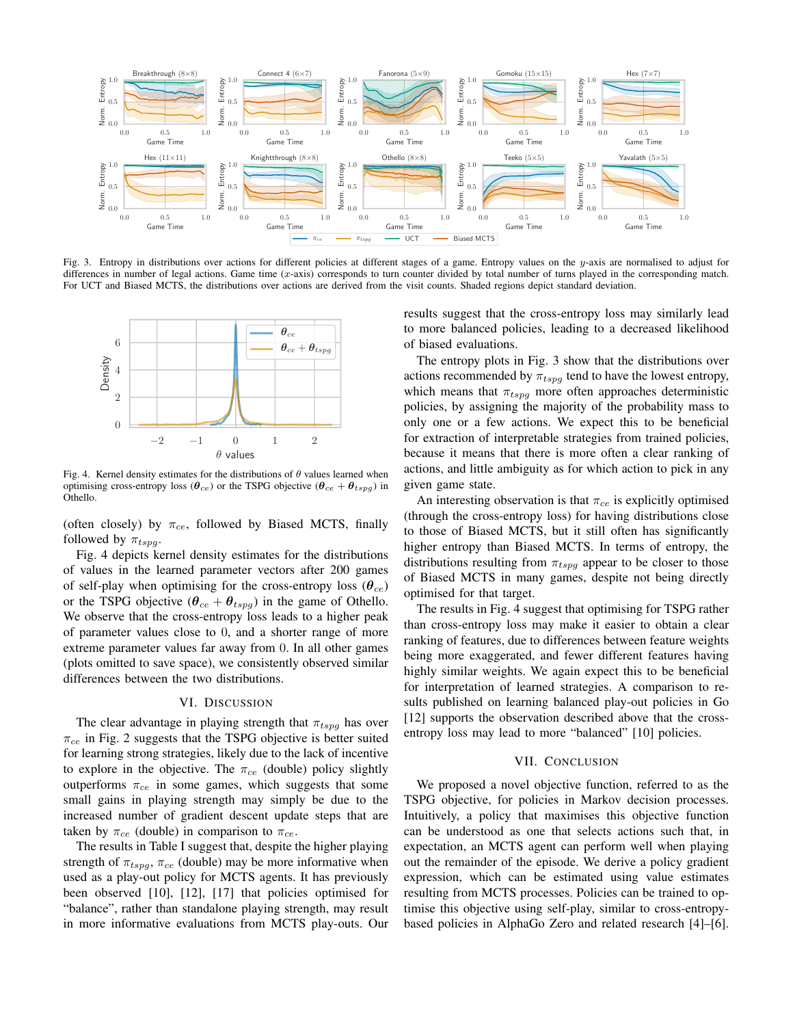

Fig. 3. Entropy in distributions over actions for different policies at different stages of a game. Entropy values on the y-axis are normalised to adjust for differences in number of legal actions. Game time (x-axis) corresponds to turn counter divided by total number of turns played in the corresponding match. For UCT and Biased MCTS, the distributions over actions are derived from the visit counts. Shaded regions depict standard deviation.



Fig. 4. Kernel density estimates for the distributions of  $\theta$  values learned when optimising cross-entropy loss ( $\theta_{ce}$ ) or the TSPG objective ( $\theta_{ce} + \theta_{tspq}$ ) in Othello.

(often closely) by  $\pi_{ce}$ , followed by Biased MCTS, finally followed by  $\pi_{tspq}$ .

Fig. 4 depicts kernel density estimates for the distributions of values in the learned parameter vectors after 200 games of self-play when optimising for the cross-entropy loss  $(\theta_{ce})$ or the TSPG objective  $(\theta_{ce} + \theta_{tspq})$  in the game of Othello. We observe that the cross-entropy loss leads to a higher peak of parameter values close to 0, and a shorter range of more extreme parameter values far away from 0. In all other games (plots omitted to save space), we consistently observed similar differences between the two distributions.

#### VI. DISCUSSION

The clear advantage in playing strength that  $\pi_{tspg}$  has over  $\pi_{ce}$  in Fig. 2 suggests that the TSPG objective is better suited for learning strong strategies, likely due to the lack of incentive to explore in the objective. The  $\pi_{ce}$  (double) policy slightly outperforms  $\pi_{ce}$  in some games, which suggests that some small gains in playing strength may simply be due to the increased number of gradient descent update steps that are taken by  $\pi_{ce}$  (double) in comparison to  $\pi_{ce}$ .

The results in Table I suggest that, despite the higher playing strength of  $\pi_{tspq}$ ,  $\pi_{ce}$  (double) may be more informative when used as a play-out policy for MCTS agents. It has previously been observed [10], [12], [17] that policies optimised for "balance", rather than standalone playing strength, may result in more informative evaluations from MCTS play-outs. Our results suggest that the cross-entropy loss may similarly lead to more balanced policies, leading to a decreased likelihood of biased evaluations.

The entropy plots in Fig. 3 show that the distributions over actions recommended by  $\pi_{tspg}$  tend to have the lowest entropy, which means that  $\pi_{tspq}$  more often approaches deterministic policies, by assigning the majority of the probability mass to only one or a few actions. We expect this to be beneficial for extraction of interpretable strategies from trained policies, because it means that there is more often a clear ranking of actions, and little ambiguity as for which action to pick in any given game state.

An interesting observation is that  $\pi_{ce}$  is explicitly optimised (through the cross-entropy loss) for having distributions close to those of Biased MCTS, but it still often has significantly higher entropy than Biased MCTS. In terms of entropy, the distributions resulting from  $\pi_{tspq}$  appear to be closer to those of Biased MCTS in many games, despite not being directly optimised for that target.

The results in Fig. 4 suggest that optimising for TSPG rather than cross-entropy loss may make it easier to obtain a clear ranking of features, due to differences between feature weights being more exaggerated, and fewer different features having highly similar weights. We again expect this to be beneficial for interpretation of learned strategies. A comparison to results published on learning balanced play-out policies in Go [12] supports the observation described above that the crossentropy loss may lead to more "balanced" [10] policies.

## VII. CONCLUSION

We proposed a novel objective function, referred to as the TSPG objective, for policies in Markov decision processes. Intuitively, a policy that maximises this objective function can be understood as one that selects actions such that, in expectation, an MCTS agent can perform well when playing out the remainder of the episode. We derive a policy gradient expression, which can be estimated using value estimates resulting from MCTS processes. Policies can be trained to optimise this objective using self-play, similar to cross-entropybased policies in AlphaGo Zero and related research [4]–[6].